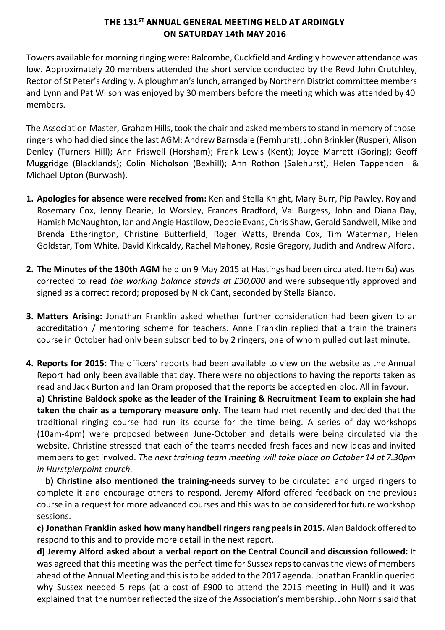# **THE 131 ST ANNUAL GENERAL MEETING HELD AT ARDINGLY ON SATURDAY 14th MAY 2016**

Towers available for morning ringing were: Balcombe, Cuckfield and Ardingly however attendance was low. Approximately 20 members attended the short service conducted by the Revd John Crutchley, Rector of St Peter's Ardingly. A ploughman's lunch, arranged by Northern District committee members and Lynn and Pat Wilson was enjoyed by 30 members before the meeting which was attended by 40 members.

The Association Master, Graham Hills, took the chair and asked membersto stand in memory of those ringers who had died since the last AGM: Andrew Barnsdale (Fernhurst); John Brinkler (Rusper); Alison Denley (Turners Hill); Ann Friswell (Horsham); Frank Lewis (Kent); Joyce Marrett (Goring); Geoff Muggridge (Blacklands); Colin Nicholson (Bexhill); Ann Rothon (Salehurst), Helen Tappenden & Michael Upton (Burwash).

- **1. Apologies for absence were received from:** Ken and Stella Knight, Mary Burr, Pip Pawley, Roy and Rosemary Cox, Jenny Dearie, Jo Worsley, Frances Bradford, Val Burgess, John and Diana Day, Hamish McNaughton, Ian and Angie Hastilow, Debbie Evans, Chris Shaw, Gerald Sandwell, Mike and Brenda Etherington, Christine Butterfield, Roger Watts, Brenda Cox, Tim Waterman, Helen Goldstar, Tom White, David Kirkcaldy, Rachel Mahoney, Rosie Gregory, Judith and Andrew Alford.
- **2. The Minutes of the 130th AGM** held on 9 May 2015 at Hastings had been circulated. Item 6a) was corrected to read *the working balance stands at £30,000* and were subsequently approved and signed as a correct record; proposed by Nick Cant, seconded by Stella Bianco.
- **3. Matters Arising:** Jonathan Franklin asked whether further consideration had been given to an accreditation / mentoring scheme for teachers. Anne Franklin replied that a train the trainers course in October had only been subscribed to by 2 ringers, one of whom pulled out last minute.
- **4. Reports for 2015:** The officers' reports had been available to view on the website as the Annual Report had only been available that day. There were no objections to having the reports taken as read and Jack Burton and Ian Oram proposed that the reports be accepted en bloc. All in favour. **a) Christine Baldock spoke as the leader of the Training & Recruitment Team to explain she had**

**taken the chair as a temporary measure only.** The team had met recently and decided that the traditional ringing course had run its course for the time being. A series of day workshops (10am-4pm) were proposed between June-October and details were being circulated via the website. Christine stressed that each of the teams needed fresh faces and new ideas and invited members to get involved. *The next training team meeting will take place on October 14 at 7.30pm in Hurstpierpoint church.*

**b)** Christine also mentioned the training-needs survey to be circulated and urged ringers to complete it and encourage others to respond. Jeremy Alford offered feedback on the previous course in a request for more advanced courses and this was to be considered for future workshop sessions.

**c) Jonathan Franklin asked how many handbell ringersrang pealsin 2015.** Alan Baldock offered to respond to this and to provide more detail in the next report.

**d) Jeremy Alford asked about a verbal report on the Central Council and discussion followed:** It was agreed that this meeting was the perfect time for Sussex reps to canvas the views of members ahead of the Annual Meeting and thisisto be added to the 2017 agenda. Jonathan Franklin queried why Sussex needed 5 reps (at a cost of £900 to attend the 2015 meeting in Hull) and it was explained that the number reflected the size of the Association's membership. John Norris said that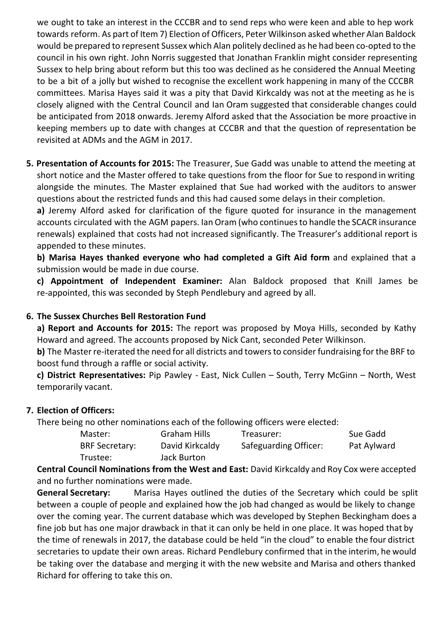we ought to take an interest in the CCCBR and to send reps who were keen and able to hep work towards reform. As part of Item 7) Election of Officers, Peter Wilkinson asked whether Alan Baldock would be prepared to represent Sussex which Alan politely declined as he had been co-opted to the council in his own right. John Norris suggested that Jonathan Franklin might consider representing Sussex to help bring about reform but this too was declined as he considered the Annual Meeting to be a bit of a jolly but wished to recognise the excellent work happening in many of the CCCBR committees. Marisa Hayes said it was a pity that David Kirkcaldy was not at the meeting as he is closely aligned with the Central Council and Ian Oram suggested that considerable changes could be anticipated from 2018 onwards. Jeremy Alford asked that the Association be more proactive in keeping members up to date with changes at CCCBR and that the question of representation be revisited at ADMs and the AGM in 2017.

**5. Presentation of Accounts for 2015:** The Treasurer, Sue Gadd was unable to attend the meeting at short notice and the Master offered to take questions from the floor for Sue to respond in writing alongside the minutes. The Master explained that Sue had worked with the auditors to answer questions about the restricted funds and this had caused some delays in their completion.

**a)** Jeremy Alford asked for clarification of the figure quoted for insurance in the management accounts circulated with the AGM papers. Ian Oram (who continues to handle the SCACR insurance renewals) explained that costs had not increased significantly. The Treasurer's additional report is appended to these minutes.

**b) Marisa Hayes thanked everyone who had completed a Gift Aid form** and explained that a submission would be made in due course.

**c) Appointment of Independent Examiner:** Alan Baldock proposed that Knill James be re-appointed, this was seconded by Steph Pendlebury and agreed by all.

# **6. The Sussex Churches Bell Restoration Fund**

**a) Report and Accounts for 2015:** The report was proposed by Moya Hills, seconded by Kathy Howard and agreed. The accounts proposed by Nick Cant, seconded Peter Wilkinson.

**b)** The Master re-iterated the need for all districts and towers to consider fundraising for the BRF to boost fund through a raffle or social activity.

**c) District Representatives:** Pip Pawley East, Nick Cullen – South, Terry McGinn – North, West temporarily vacant.

# **7. Election of Officers:**

There being no other nominations each of the following officers were elected:

| Master:               | Graham Hills    | Treasurer:            | Sue Gadd    |
|-----------------------|-----------------|-----------------------|-------------|
| <b>BRF Secretary:</b> | David Kirkcaldy | Safeguarding Officer: | Pat Aylward |
| Trustee:              | Jack Burton     |                       |             |

**Central Council Nominations from the West and East:** David Kirkcaldy and Roy Cox were accepted and no further nominations were made.

**General Secretary:** Marisa Hayes outlined the duties of the Secretary which could be split between a couple of people and explained how the job had changed as would be likely to change over the coming year. The current database which was developed by Stephen Beckingham does a fine job but has one major drawback in that it can only be held in one place. It was hoped that by the time of renewals in 2017, the database could be held "in the cloud" to enable the four district secretaries to update their own areas. Richard Pendlebury confirmed that in the interim, he would be taking over the database and merging it with the new website and Marisa and others thanked Richard for offering to take this on.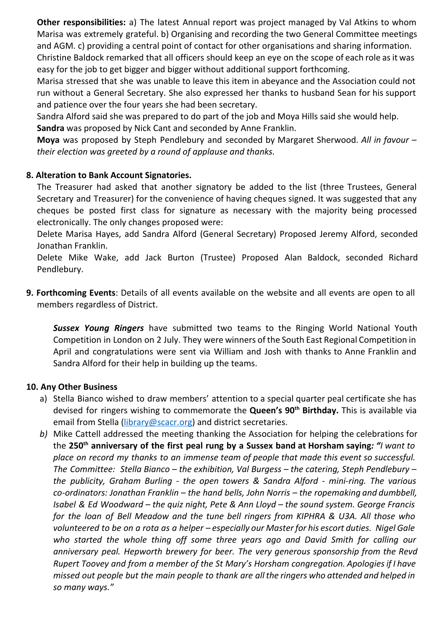**Other responsibilities:** a) The latest Annual report was project managed by Val Atkins to whom Marisa was extremely grateful. b) Organising and recording the two General Committee meetings and AGM. c) providing a central point of contact for other organisations and sharing information.

Christine Baldock remarked that all officers should keep an eye on the scope of each role asit was easy for the job to get bigger and bigger without additional support forthcoming.

Marisa stressed that she was unable to leave this item in abeyance and the Association could not run without a General Secretary. She also expressed her thanks to husband Sean for his support and patience over the four years she had been secretary.

Sandra Alford said she was prepared to do part of the job and Moya Hills said she would help. **Sandra** was proposed by Nick Cant and seconded by Anne Franklin.

**Moya** was proposed by Steph Pendlebury and seconded by Margaret Sherwood. *All in favour – their election was greeted by a round of applause and thanks.*

# **8. Alteration to Bank Account Signatories.**

The Treasurer had asked that another signatory be added to the list (three Trustees, General Secretary and Treasurer) for the convenience of having cheques signed. It was suggested that any cheques be posted first class for signature as necessary with the majority being processed electronically. The only changes proposed were:

Delete Marisa Hayes, add Sandra Alford (General Secretary) Proposed Jeremy Alford, seconded Jonathan Franklin.

Delete Mike Wake, add Jack Burton (Trustee) Proposed Alan Baldock, seconded Richard Pendlebury.

**9. Forthcoming Events**: Details of all events available on the website and all events are open to all members regardless of District.

 *Sussex Young Ringers* have submitted two teams to the Ringing World National Youth Competition in London on 2 July. They were winners of the South East Regional Competition in April and congratulations were sent via William and Josh with thanks to Anne Franklin and Sandra Alford for their help in building up the teams.

# **10. Any Other Business**

- a) Stella Bianco wished to draw members' attention to a special quarter peal certificate she has devised for ringers wishing to commemorate the **Queen's 90 th Birthday.** This is available via email from Stella (*library@scacr.org*) and district secretaries.
- *b)* Mike Cattell addressed the meeting thanking the Association for helping the celebrations for the 250<sup>th</sup> anniversary of the first peal rung by a Sussex band at Horsham saying: "I want to *place on record my thanks to an immense team of people that made this event so successful. The Committee: Stella Bianco – the exhibition, Val Burgess – the catering, Steph Pendlebury – the publicity, Graham Burling the open towers & Sandra Alford miniring. The various co-ordinators: Jonathan Franklin* – *the hand bells, John Norris* – *the ropemaking and dumbbell, Isabel & Ed Woodward – the quiz night, Pete & Ann Lloyd – the sound system. George Francis for the loan of Bell Meadow and the tune bell ringers from KIPHRA & U3A. All those who* volunteered to be on a rota as a helper - especially our Master for his escort duties. Nigel Gale *who started the whole thing off some three years ago and David Smith for calling our anniversary peal. Hepworth brewery for beer. The very generous sponsorship from the Revd Rupert Toovey and from a member of the St Mary's Horsham congregation. Apologiesif I have missed out people but the main people to thank are all the ringers who attended and helped in so many ways."*